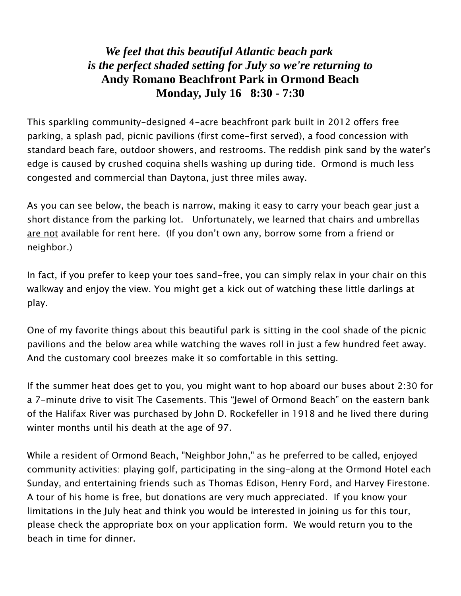## *We feel that this beautiful Atlantic beach park is the perfect shaded setting for July so we're returning to* **Andy Romano Beachfront Park in Ormond Beach Monday, July 16 8:30 - 7:30**

This sparkling community-designed 4-acre beachfront park built in 2012 offers free parking, a splash pad, picnic pavilions (first come-first served), a food concession with standard beach fare, outdoor showers, and restrooms. The reddish pink sand by the water's edge is caused by crushed coquina shells washing up during tide. Ormond is much less congested and commercial than Daytona, just three miles away.

As you can see below, the beach is narrow, making it easy to carry your beach gear just a short distance from the parking lot. Unfortunately, we learned that chairs and umbrellas are not available for rent here. (If you don't own any, borrow some from a friend or neighbor.)

In fact, if you prefer to keep your toes sand-free, you can simply relax in your chair on this walkway and enjoy the view. You might get a kick out of watching these little darlings at play.

One of my favorite things about this beautiful park is sitting in the cool shade of the picnic pavilions and the below area while watching the waves roll in just a few hundred feet away. And the customary cool breezes make it so comfortable in this setting.

If the summer heat does get to you, you might want to hop aboard our buses about 2:30 for a 7-minute drive to visit The Casements. This "Jewel of Ormond Beach" on the eastern bank of the Halifax River was purchased by John D. Rockefeller in 1918 and he lived there during winter months until his death at the age of 97.

While a resident of Ormond Beach, "Neighbor John," as he preferred to be called, enjoyed community activities: playing golf, participating in the sing-along at the Ormond Hotel each Sunday, and entertaining friends such as Thomas Edison, Henry Ford, and Harvey Firestone. A tour of his home is free, but donations are very much appreciated. If you know your limitations in the July heat and think you would be interested in joining us for this tour, please check the appropriate box on your application form. We would return you to the beach in time for dinner.